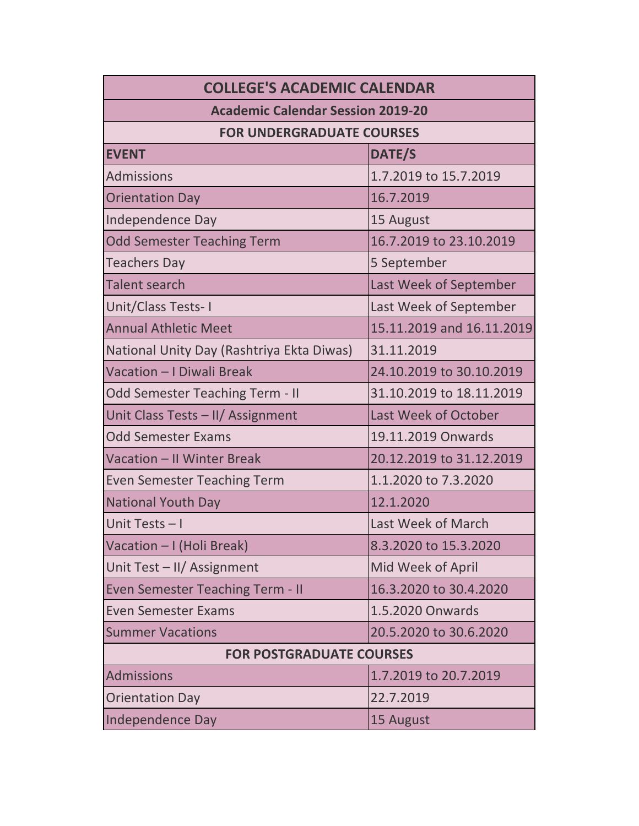| <b>COLLEGE'S ACADEMIC CALENDAR</b>        |                             |  |
|-------------------------------------------|-----------------------------|--|
| <b>Academic Calendar Session 2019-20</b>  |                             |  |
| <b>FOR UNDERGRADUATE COURSES</b>          |                             |  |
| <b>EVENT</b>                              | DATE/S                      |  |
| <b>Admissions</b>                         | 1.7.2019 to 15.7.2019       |  |
| <b>Orientation Day</b>                    | 16.7.2019                   |  |
| Independence Day                          | 15 August                   |  |
| <b>Odd Semester Teaching Term</b>         | 16.7.2019 to 23.10.2019     |  |
| <b>Teachers Day</b>                       | 5 September                 |  |
| <b>Talent search</b>                      | Last Week of September      |  |
| Unit/Class Tests-I                        | Last Week of September      |  |
| <b>Annual Athletic Meet</b>               | 15.11.2019 and 16.11.2019   |  |
| National Unity Day (Rashtriya Ekta Diwas) | 31.11.2019                  |  |
| Vacation - I Diwali Break                 | 24.10.2019 to 30.10.2019    |  |
| <b>Odd Semester Teaching Term - II</b>    | 31.10.2019 to 18.11.2019    |  |
| Unit Class Tests - II/ Assignment         | <b>Last Week of October</b> |  |
| <b>Odd Semester Exams</b>                 | 19.11.2019 Onwards          |  |
| <b>Vacation - II Winter Break</b>         | 20.12.2019 to 31.12.2019    |  |
| <b>Even Semester Teaching Term</b>        | 1.1.2020 to 7.3.2020        |  |
| <b>National Youth Day</b>                 | 12.1.2020                   |  |
| Unit Tests-I                              | Last Week of March          |  |
| Vacation - I (Holi Break)                 | 8.3.2020 to 15.3.2020       |  |
| Unit Test - II/ Assignment                | Mid Week of April           |  |
| <b>Even Semester Teaching Term - II</b>   | 16.3.2020 to 30.4.2020      |  |
| <b>Even Semester Exams</b>                | 1.5.2020 Onwards            |  |
| <b>Summer Vacations</b>                   | 20.5.2020 to 30.6.2020      |  |
| <b>FOR POSTGRADUATE COURSES</b>           |                             |  |
| <b>Admissions</b>                         | 1.7.2019 to 20.7.2019       |  |
| <b>Orientation Day</b>                    | 22.7.2019                   |  |
| Independence Day                          | 15 August                   |  |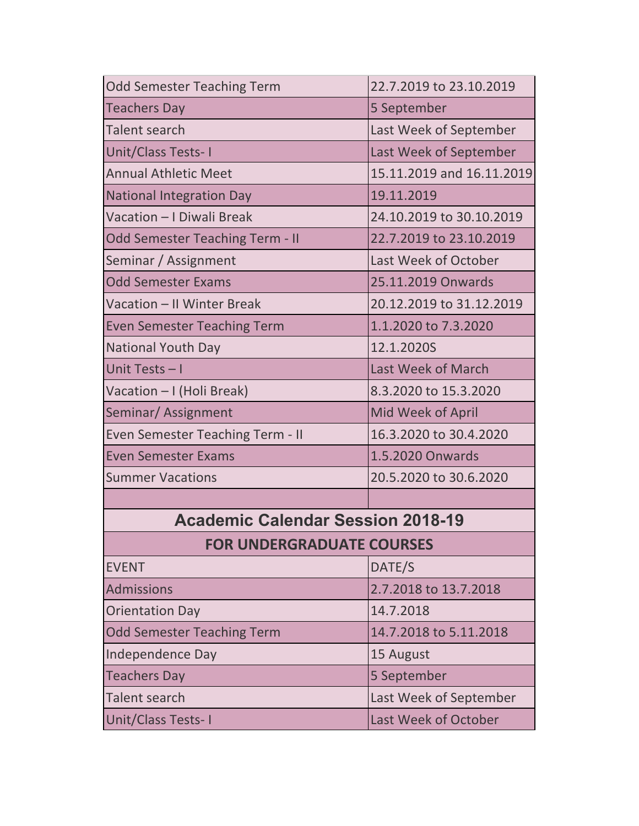| <b>Odd Semester Teaching Term</b>        | 22.7.2019 to 23.10.2019   |
|------------------------------------------|---------------------------|
| <b>Teachers Day</b>                      | 5 September               |
| <b>Talent search</b>                     | Last Week of September    |
| Unit/Class Tests-I                       | Last Week of September    |
| <b>Annual Athletic Meet</b>              | 15.11.2019 and 16.11.2019 |
| <b>National Integration Day</b>          | 19.11.2019                |
| Vacation - I Diwali Break                | 24.10.2019 to 30.10.2019  |
| <b>Odd Semester Teaching Term - II</b>   | 22.7.2019 to 23.10.2019   |
| Seminar / Assignment                     | Last Week of October      |
| <b>Odd Semester Exams</b>                | 25.11.2019 Onwards        |
| Vacation - II Winter Break               | 20.12.2019 to 31.12.2019  |
| <b>Even Semester Teaching Term</b>       | 1.1.2020 to 7.3.2020      |
| <b>National Youth Day</b>                | 12.1.2020S                |
| Unit Tests-I                             | <b>Last Week of March</b> |
| Vacation - I (Holi Break)                | 8.3.2020 to 15.3.2020     |
| Seminar/Assignment                       | Mid Week of April         |
| Even Semester Teaching Term - II         | 16.3.2020 to 30.4.2020    |
| <b>Even Semester Exams</b>               | 1.5.2020 Onwards          |
| <b>Summer Vacations</b>                  | 20.5.2020 to 30.6.2020    |
|                                          |                           |
| <b>Academic Calendar Session 2018-19</b> |                           |
| <b>FOR UNDERGRADUATE COURSES</b>         |                           |
| <b>EVENT</b>                             | DATE/S                    |
| <b>Admissions</b>                        | 2.7.2018 to 13.7.2018     |
| <b>Orientation Day</b>                   | 14.7.2018                 |
| <b>Odd Semester Teaching Term</b>        | 14.7.2018 to 5.11.2018    |
| Independence Day                         | 15 August                 |
| <b>Teachers Day</b>                      | 5 September               |
| <b>Talent search</b>                     | Last Week of September    |
| Unit/Class Tests-I                       | Last Week of October      |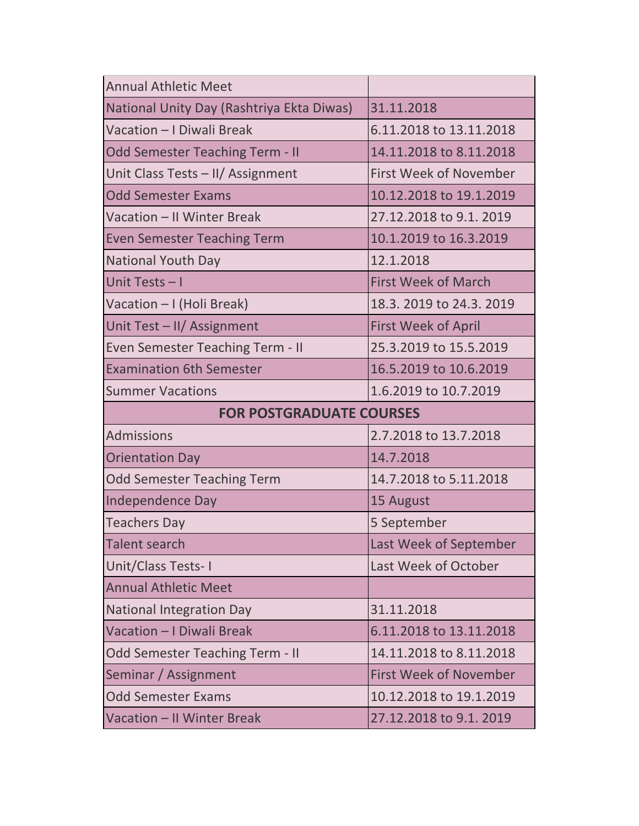| <b>Annual Athletic Meet</b>               |                               |
|-------------------------------------------|-------------------------------|
| National Unity Day (Rashtriya Ekta Diwas) | 31.11.2018                    |
| Vacation - I Diwali Break                 | 6.11.2018 to 13.11.2018       |
| <b>Odd Semester Teaching Term - II</b>    | 14.11.2018 to 8.11.2018       |
| Unit Class Tests - II/ Assignment         | <b>First Week of November</b> |
| <b>Odd Semester Exams</b>                 | 10.12.2018 to 19.1.2019       |
| Vacation - II Winter Break                | 27.12.2018 to 9.1. 2019       |
| <b>Even Semester Teaching Term</b>        | 10.1.2019 to 16.3.2019        |
| <b>National Youth Day</b>                 | 12.1.2018                     |
| Unit Tests - I                            | <b>First Week of March</b>    |
| Vacation - I (Holi Break)                 | 18.3. 2019 to 24.3. 2019      |
| Unit Test - II/ Assignment                | <b>First Week of April</b>    |
| Even Semester Teaching Term - II          | 25.3.2019 to 15.5.2019        |
| <b>Examination 6th Semester</b>           | 16.5.2019 to 10.6.2019        |
| <b>Summer Vacations</b>                   | 1.6.2019 to 10.7.2019         |
| <b>FOR POSTGRADUATE COURSES</b>           |                               |
|                                           |                               |
| <b>Admissions</b>                         | 2.7.2018 to 13.7.2018         |
| <b>Orientation Day</b>                    | 14.7.2018                     |
| <b>Odd Semester Teaching Term</b>         | 14.7.2018 to 5.11.2018        |
| Independence Day                          | 15 August                     |
| <b>Teachers Day</b>                       | 5 September                   |
| <b>Talent search</b>                      | Last Week of September        |
| Unit/Class Tests-1                        | Last Week of October          |
| <b>Annual Athletic Meet</b>               |                               |
| <b>National Integration Day</b>           | 31.11.2018                    |
| Vacation - I Diwali Break                 | 6.11.2018 to 13.11.2018       |
| <b>Odd Semester Teaching Term - II</b>    | 14.11.2018 to 8.11.2018       |
| Seminar / Assignment                      | <b>First Week of November</b> |
| <b>Odd Semester Exams</b>                 | 10.12.2018 to 19.1.2019       |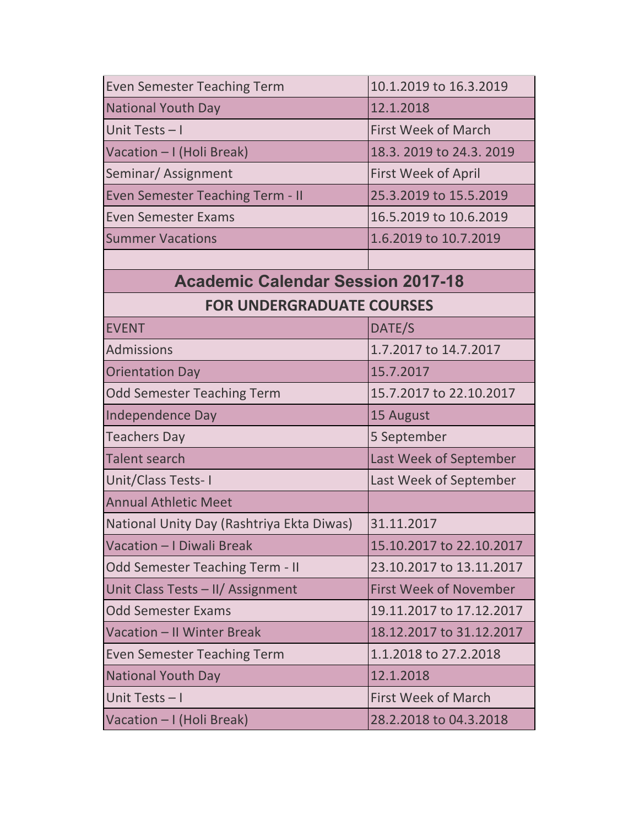| <b>Even Semester Teaching Term</b>        | 10.1.2019 to 16.3.2019        |
|-------------------------------------------|-------------------------------|
| <b>National Youth Day</b>                 | 12.1.2018                     |
| Unit Tests - I                            | <b>First Week of March</b>    |
| Vacation - I (Holi Break)                 | 18.3. 2019 to 24.3. 2019      |
| Seminar/Assignment                        | <b>First Week of April</b>    |
| <b>Even Semester Teaching Term - II</b>   | 25.3.2019 to 15.5.2019        |
| <b>Even Semester Exams</b>                | 16.5.2019 to 10.6.2019        |
| <b>Summer Vacations</b>                   | 1.6.2019 to 10.7.2019         |
|                                           |                               |
| <b>Academic Calendar Session 2017-18</b>  |                               |
| <b>FOR UNDERGRADUATE COURSES</b>          |                               |
| <b>EVENT</b>                              | DATE/S                        |
| <b>Admissions</b>                         | 1.7.2017 to 14.7.2017         |
| <b>Orientation Day</b>                    | 15.7.2017                     |
| <b>Odd Semester Teaching Term</b>         | 15.7.2017 to 22.10.2017       |
| Independence Day                          | 15 August                     |
| <b>Teachers Day</b>                       | 5 September                   |
| <b>Talent search</b>                      | Last Week of September        |
| Unit/Class Tests-I                        | Last Week of September        |
| <b>Annual Athletic Meet</b>               |                               |
| National Unity Day (Rashtriya Ekta Diwas) | 31.11.2017                    |
| Vacation - I Diwali Break                 | 15.10.2017 to 22.10.2017      |
| <b>Odd Semester Teaching Term - II</b>    | 23.10.2017 to 13.11.2017      |
| Unit Class Tests - II/ Assignment         | <b>First Week of November</b> |
| <b>Odd Semester Exams</b>                 | 19.11.2017 to 17.12.2017      |
| Vacation - II Winter Break                | 18.12.2017 to 31.12.2017      |
| <b>Even Semester Teaching Term</b>        | 1.1.2018 to 27.2.2018         |
| <b>National Youth Day</b>                 | 12.1.2018                     |
| Unit Tests-I                              | <b>First Week of March</b>    |
| Vacation - I (Holi Break)                 | 28.2.2018 to 04.3.2018        |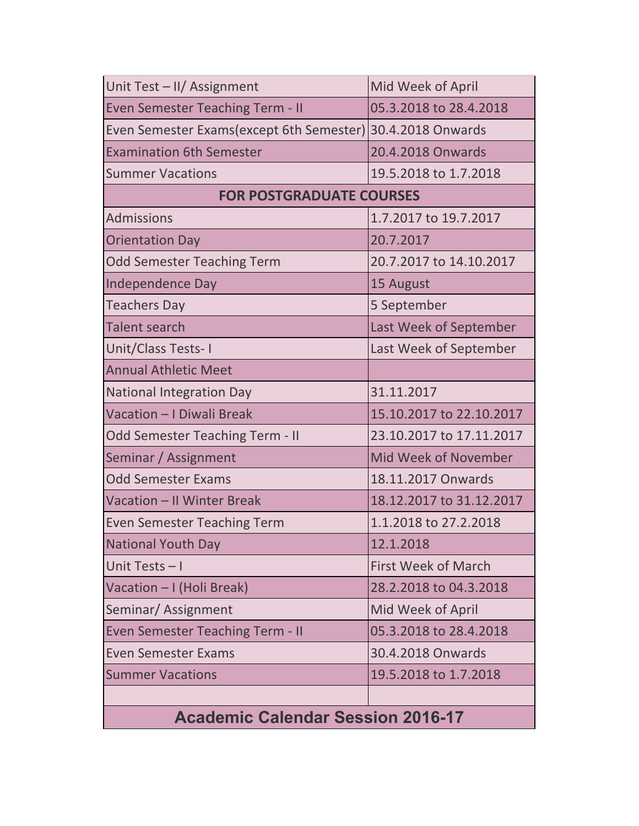| Unit Test - II/ Assignment                                 | Mid Week of April           |
|------------------------------------------------------------|-----------------------------|
| <b>Even Semester Teaching Term - II</b>                    | 05.3.2018 to 28.4.2018      |
| Even Semester Exams(except 6th Semester) 30.4.2018 Onwards |                             |
| <b>Examination 6th Semester</b>                            | 20.4.2018 Onwards           |
| <b>Summer Vacations</b>                                    | 19.5.2018 to 1.7.2018       |
| <b>FOR POSTGRADUATE COURSES</b>                            |                             |
| <b>Admissions</b>                                          | 1.7.2017 to 19.7.2017       |
| <b>Orientation Day</b>                                     | 20.7.2017                   |
| <b>Odd Semester Teaching Term</b>                          | 20.7.2017 to 14.10.2017     |
| Independence Day                                           | 15 August                   |
| <b>Teachers Day</b>                                        | 5 September                 |
| <b>Talent search</b>                                       | Last Week of September      |
| Unit/Class Tests-I                                         | Last Week of September      |
| <b>Annual Athletic Meet</b>                                |                             |
| <b>National Integration Day</b>                            | 31.11.2017                  |
| Vacation - I Diwali Break                                  | 15.10.2017 to 22.10.2017    |
| <b>Odd Semester Teaching Term - II</b>                     | 23.10.2017 to 17.11.2017    |
| Seminar / Assignment                                       | <b>Mid Week of November</b> |
| <b>Odd Semester Exams</b>                                  | 18.11.2017 Onwards          |
| Vacation - II Winter Break                                 | 18.12.2017 to 31.12.2017    |
| <b>Even Semester Teaching Term</b>                         | 1.1.2018 to 27.2.2018       |
| <b>National Youth Day</b>                                  | 12.1.2018                   |
| Unit Tests-I                                               | <b>First Week of March</b>  |
| Vacation – I (Holi Break)                                  | 28.2.2018 to 04.3.2018      |
| Seminar/Assignment                                         | Mid Week of April           |
| <b>Even Semester Teaching Term - II</b>                    | 05.3.2018 to 28.4.2018      |
| <b>Even Semester Exams</b>                                 | 30.4.2018 Onwards           |
| <b>Summer Vacations</b>                                    | 19.5.2018 to 1.7.2018       |
|                                                            |                             |
| <b>Academic Calendar Session 2016-17</b>                   |                             |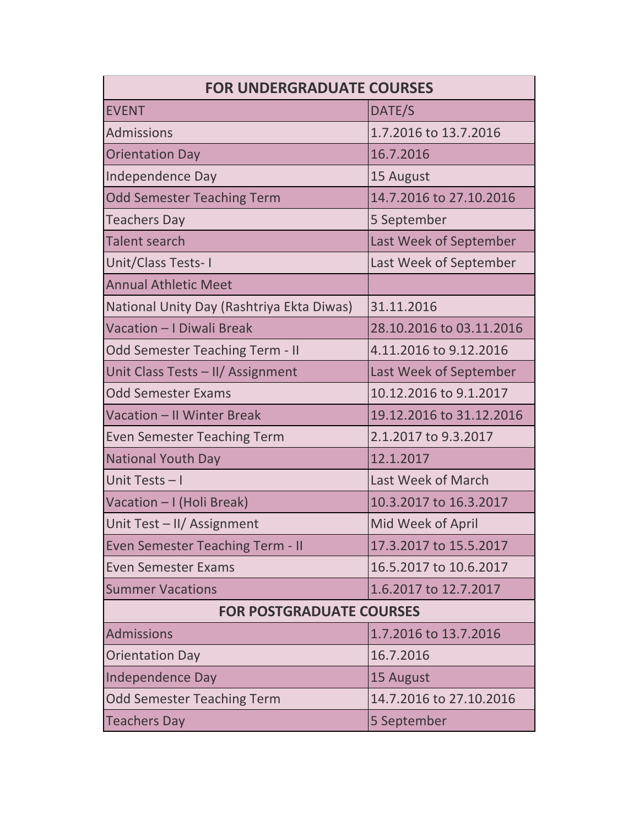| <b>FOR UNDERGRADUATE COURSES</b>          |                          |
|-------------------------------------------|--------------------------|
| <b>EVENT</b>                              | DATE/S                   |
| <b>Admissions</b>                         | 1.7.2016 to 13.7.2016    |
| <b>Orientation Day</b>                    | 16.7.2016                |
| Independence Day                          | 15 August                |
| <b>Odd Semester Teaching Term</b>         | 14.7.2016 to 27.10.2016  |
| <b>Teachers Day</b>                       | 5 September              |
| <b>Talent search</b>                      | Last Week of September   |
| Unit/Class Tests-I                        | Last Week of September   |
| <b>Annual Athletic Meet</b>               |                          |
| National Unity Day (Rashtriya Ekta Diwas) | 31.11.2016               |
| Vacation - I Diwali Break                 | 28.10.2016 to 03.11.2016 |
| <b>Odd Semester Teaching Term - II</b>    | 4.11.2016 to 9.12.2016   |
| Unit Class Tests - II/ Assignment         | Last Week of September   |
| <b>Odd Semester Exams</b>                 | 10.12.2016 to 9.1.2017   |
| Vacation - II Winter Break                | 19.12.2016 to 31.12.2016 |
| <b>Even Semester Teaching Term</b>        | 2.1.2017 to 9.3.2017     |
| <b>National Youth Day</b>                 | 12.1.2017                |
| Unit Tests-I                              | Last Week of March       |
| Vacation - I (Holi Break)                 | 10.3.2017 to 16.3.2017   |
| Unit Test - II/ Assignment                | Mid Week of April        |
| <b>Even Semester Teaching Term - II</b>   | 17.3.2017 to 15.5.2017   |
| <b>Even Semester Exams</b>                | 16.5.2017 to 10.6.2017   |
| <b>Summer Vacations</b>                   | 1.6.2017 to 12.7.2017    |
| <b>FOR POSTGRADUATE COURSES</b>           |                          |
| <b>Admissions</b>                         | 1.7.2016 to 13.7.2016    |
| <b>Orientation Day</b>                    | 16.7.2016                |
| Independence Day                          | 15 August                |
| <b>Odd Semester Teaching Term</b>         | 14.7.2016 to 27.10.2016  |
| <b>Teachers Day</b>                       | 5 September              |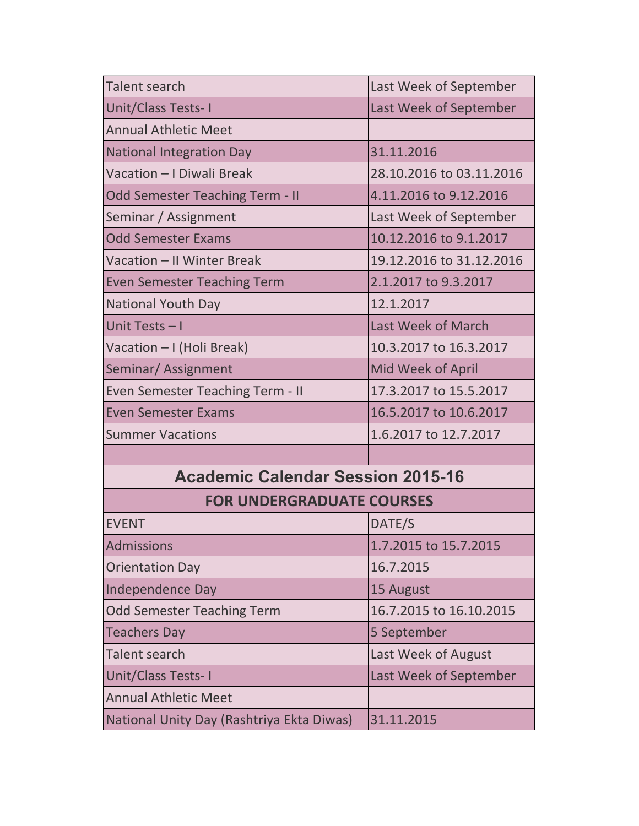| <b>Talent search</b>                      | Last Week of September   |
|-------------------------------------------|--------------------------|
|                                           |                          |
| Unit/Class Tests-I                        | Last Week of September   |
| <b>Annual Athletic Meet</b>               |                          |
| <b>National Integration Day</b>           | 31.11.2016               |
| Vacation - I Diwali Break                 | 28.10.2016 to 03.11.2016 |
| <b>Odd Semester Teaching Term - II</b>    | 4.11.2016 to 9.12.2016   |
| Seminar / Assignment                      | Last Week of September   |
| <b>Odd Semester Exams</b>                 | 10.12.2016 to 9.1.2017   |
| Vacation - II Winter Break                | 19.12.2016 to 31.12.2016 |
| <b>Even Semester Teaching Term</b>        | 2.1.2017 to 9.3.2017     |
| <b>National Youth Day</b>                 | 12.1.2017                |
| Unit Tests - I                            | Last Week of March       |
| Vacation - I (Holi Break)                 | 10.3.2017 to 16.3.2017   |
| Seminar/Assignment                        | Mid Week of April        |
| <b>Even Semester Teaching Term - II</b>   | 17.3.2017 to 15.5.2017   |
| <b>Even Semester Exams</b>                | 16.5.2017 to 10.6.2017   |
| <b>Summer Vacations</b>                   | 1.6.2017 to 12.7.2017    |
|                                           |                          |
| <b>Academic Calendar Session 2015-16</b>  |                          |
| <b>FOR UNDERGRADUATE COURSES</b>          |                          |
| <b>EVENT</b>                              | DATE/S                   |
| <b>Admissions</b>                         | 1.7.2015 to 15.7.2015    |
| <b>Orientation Day</b>                    | 16.7.2015                |
| Independence Day                          | 15 August                |
| <b>Odd Semester Teaching Term</b>         | 16.7.2015 to 16.10.2015  |
| <b>Teachers Day</b>                       | 5 September              |
| Talent search                             | Last Week of August      |
| Unit/Class Tests-I                        | Last Week of September   |
| <b>Annual Athletic Meet</b>               |                          |
| National Unity Day (Rashtriya Ekta Diwas) | 31.11.2015               |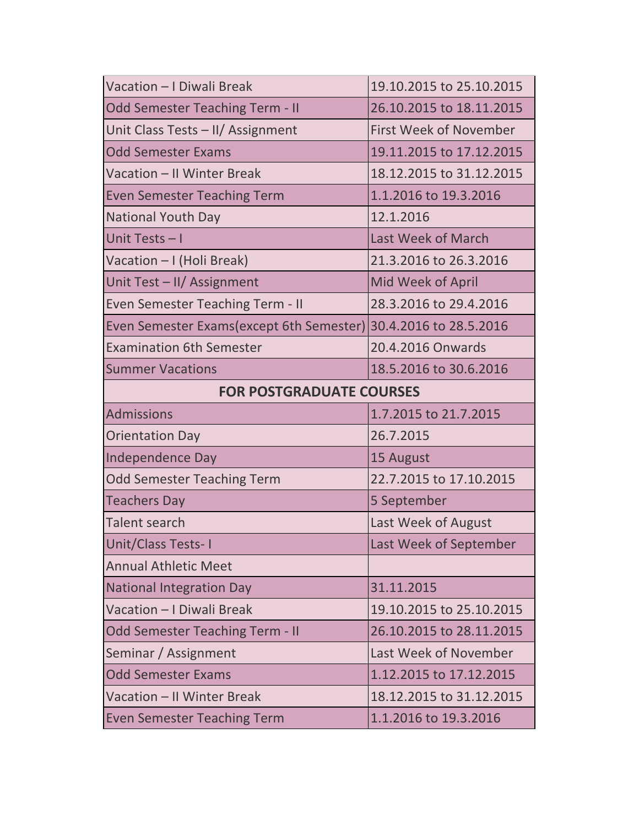| Vacation - I Diwali Break                                       | 19.10.2015 to 25.10.2015      |
|-----------------------------------------------------------------|-------------------------------|
| <b>Odd Semester Teaching Term - II</b>                          | 26.10.2015 to 18.11.2015      |
| Unit Class Tests - II/ Assignment                               | <b>First Week of November</b> |
| <b>Odd Semester Exams</b>                                       | 19.11.2015 to 17.12.2015      |
| Vacation - II Winter Break                                      | 18.12.2015 to 31.12.2015      |
| <b>Even Semester Teaching Term</b>                              | 1.1.2016 to 19.3.2016         |
| <b>National Youth Day</b>                                       | 12.1.2016                     |
| Unit Tests-I                                                    | Last Week of March            |
| Vacation - I (Holi Break)                                       | 21.3.2016 to 26.3.2016        |
| Unit Test - II/ Assignment                                      | Mid Week of April             |
| Even Semester Teaching Term - II                                | 28.3.2016 to 29.4.2016        |
| Even Semester Exams(except 6th Semester) 30.4.2016 to 28.5.2016 |                               |
| <b>Examination 6th Semester</b>                                 | 20.4.2016 Onwards             |
| <b>Summer Vacations</b>                                         | 18.5.2016 to 30.6.2016        |
| <b>FOR POSTGRADUATE COURSES</b>                                 |                               |
|                                                                 |                               |
| <b>Admissions</b>                                               | 1.7.2015 to 21.7.2015         |
| <b>Orientation Day</b>                                          | 26.7.2015                     |
| Independence Day                                                | 15 August                     |
| <b>Odd Semester Teaching Term</b>                               | 22.7.2015 to 17.10.2015       |
| <b>Teachers Day</b>                                             | 5 September                   |
| <b>Talent search</b>                                            | Last Week of August           |
| Unit/Class Tests-I                                              | Last Week of September        |
| <b>Annual Athletic Meet</b>                                     |                               |
| <b>National Integration Day</b>                                 | 31.11.2015                    |
| Vacation - I Diwali Break                                       | 19.10.2015 to 25.10.2015      |
| <b>Odd Semester Teaching Term - II</b>                          | 26.10.2015 to 28.11.2015      |
| Seminar / Assignment                                            | Last Week of November         |
| <b>Odd Semester Exams</b>                                       | 1.12.2015 to 17.12.2015       |
| Vacation - II Winter Break                                      | 18.12.2015 to 31.12.2015      |